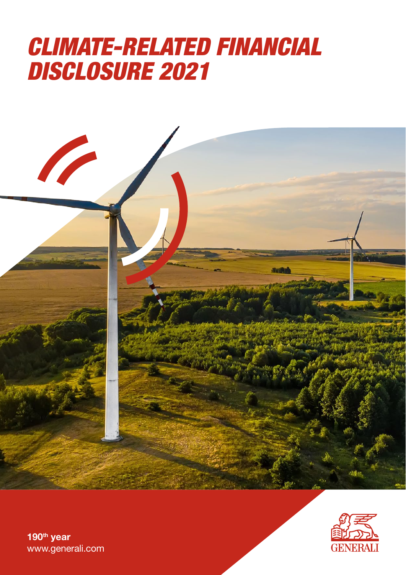# *CLIMATE-RELATED FINANCIAL DISCLOSURE 2021*





190<sup>th</sup> year [www.generali.com](https://www.generali.com/)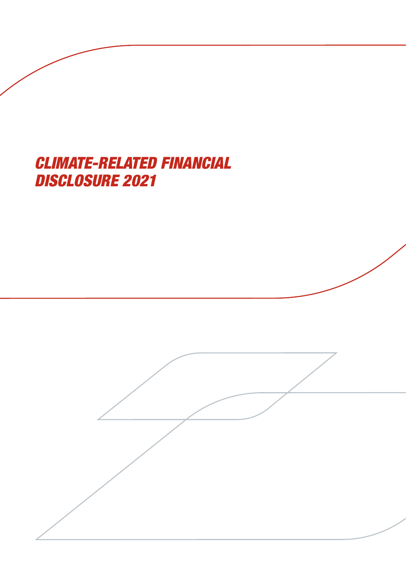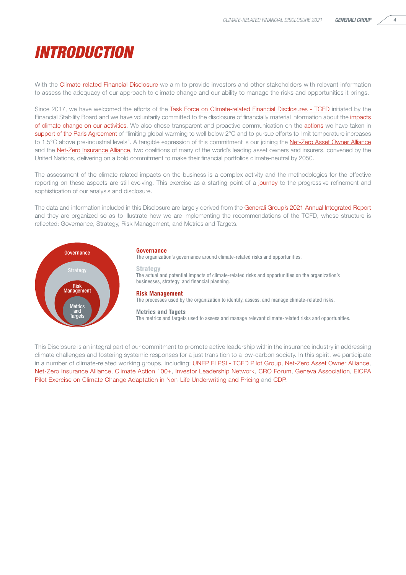## *INTRODUCTION*

With the Climate-related Financial Disclosure we aim to provide investors and other stakeholders with relevant information to assess the adequacy of our approach to climate change and our ability to manage the risks and opportunities it brings.

Since 2017, we have welcomed the efforts of the [Task Force on Climate-related Financial Disclosures - TCFD](https://www.fsb-tcfd.org/supporters/) initiated by the Financial Stability Board and we have voluntarily committed to the disclosure of financially material information about the impacts of climate change on our activities. We also chose transparent and proactive communication on the actions we have taken in support of the Paris Agreement of "limiting global warming to well below 2°C and to pursue efforts to limit temperature increases to 1.5°C above pre-industrial levels". A tangible expression of this commitment is our joining the [Net-Zero Asset Owner Alliance](https://www.unepfi.org/net-zero-alliance/) and the **Net-Zero Insurance Alliance**, two coalitions of many of the world's leading asset owners and insurers, convened by the United Nations, delivering on a bold commitment to make their financial portfolios climate-neutral by 2050.

The assessment of the climate-related impacts on the business is a complex activity and the methodologies for the effective reporting on these aspects are still evolving. This exercise as a starting point of a journey to the progressive refinement and sophistication of our analysis and disclosure.

The data and information included in this Disclosure are largely derived from the Generali Group's 2021 Annual Integrated Report and they are organized so as to illustrate how we are implementing the recommendations of the TCFD, whose structure is reflected: Governance, Strategy, Risk Management, and Metrics and Targets.



#### Governance

The organization's governance around climate-related risks and opportunities.

#### Strategy

The actual and potential impacts of climate-related risks and opportunities on the organization's businesses, strategy, and financial planning.

#### Risk Management

The processes used by the organization to identify, assess, and manage climate-related risks.

#### Metrics and Tagets

The metrics and targets used to assess and manage relevant climate-related risks and opportunities.

This Disclosure is an integral part of our commitment to promote active leadership within the insurance industry in addressing climate challenges and fostering systemic responses for a just transition to a low-carbon society. In this spirit, we participate in a number of climate-related [working groups](https://www.generali.com/our-responsibilities/our-commitment-to-the-environment-and-climate/participation-in-public-debate), including: UNEP FI PSI - TCFD Pilot Group, Net-Zero Asset Owner Alliance, Net-Zero Insurance Alliance, Climate Action 100+, Investor Leadership Network, CRO Forum, Geneva Association, EIOPA Pilot Exercise on Climate Change Adaptation in Non-Life Underwriting and Pricing and CDP.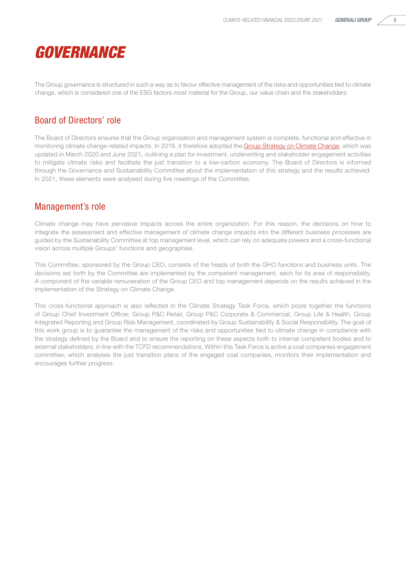

The Group governance is structured in such a way as to favour effective management of the risks and opportunities tied to climate change, which is considered one of the ESG factors most material for the Group, our value chain and the stakeholders.

### Board of Directors' role

The Board of Directors ensures that the Group organisation and management system is complete, functional and effective in monitoring climate change-related impacts. In 2018, it therefore adopted the [Group Strategy on Climate Change,](https://www.generali.com/our-responsibilities/our-commitment-to-the-environment-and-climate) which was updated in March 2020 and June 2021, outlining a plan for investment, underwriting and stakeholder engagement activities to mitigate climate risks and facilitate the just transition to a low-carbon economy. The Board of Directors is informed through the Governance and Sustainability Committee about the implementation of this strategy and the results achieved. In 2021, these elements were analysed during five meetings of the Committee.

#### Management's role

Climate change may have pervasive impacts across the entire organization. For this reason, the decisions on how to integrate the assessment and effective management of climate change impacts into the different business processes are guided by the Sustainability Committee at top management level, which can rely on adequate powers and a cross-functional vision across multiple Groups' functions and geographies.

This Committee, sponsored by the Group CEO, consists of the heads of both the GHO functions and business units. The decisions set forth by the Committee are implemented by the competent management, each for its area of responsibility. A component of the variable remuneration of the Group CEO and top management depends on the results achieved in the implementation of the Strategy on Climate Change.

This cross-functional approach is also reflected in the Climate Strategy Task Force, which pools together the functions of Group Chief Investment Officer, Group P&C Retail, Group P&C Corporate & Commercial, Group Life & Health, Group Integrated Reporting and Group Risk Management, coordinated by Group Sustainability & Social Responsibility. The goal of this work group is to guarantee the management of the risks and opportunities tied to climate change in compliance with the strategy defined by the Board and to ensure the reporting on these aspects both to internal competent bodies and to external stakeholders, in line with the TCFD recommendations. Within this Task Force is active a coal companies engagement committee, which analyses the just transition plans of the engaged coal companies, monitors their implementation and encourages further progress.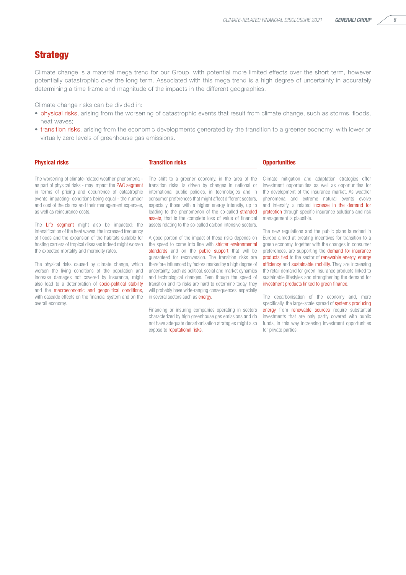#### **Strategy**

Climate change is a material mega trend for our Group, with potential more limited effects over the short term, however potentially catastrophic over the long term. Associated with this mega trend is a high degree of uncertainty in accurately determining a time frame and magnitude of the impacts in the different geographies.

Climate change risks can be divided in:

- physical risks, arising from the worsening of catastrophic events that result from climate change, such as storms, floods, heat waves;
- transition risks, arising from the economic developments generated by the transition to a greener economy, with lower or virtually zero levels of greenhouse gas emissions.

#### **Physical risks Component Component Component Component Component Component Component Component Component Compo**

The worsening of climate-related weather phenomena as part of physical risks - may impact the P&C segment in terms of pricing and occurrence of catastrophic events, impacting- conditions being equal - the number and cost of the claims and their management expenses, as well as reinsurance costs.

The Life segment might also be impacted: the intensification of the heat waves, the increased frequency of floods and the expansion of the habitats suitable for hosting carriers of tropical diseases indeed might worsen the expected mortality and morbidity rates.

The physical risks caused by climate change, which worsen the living conditions of the population and increase damages not covered by insurance, might also lead to a deterioration of socio-political stability and the macroeconomic and geopolitical conditions, with cascade effects on the financial system and on the overall economy.

The shift to a greener economy, in the area of the transition risks, is driven by changes in national or international public policies, in technologies and in consumer preferences that might affect different sectors, especially those with a higher energy intensity, up to leading to the phenomenon of the so-called stranded assets, that is the complete loss of value of financial assets relating to the so-called carbon intensive sectors.

A good portion of the impact of these risks depends on the speed to come into line with stricter environmental standards and on the public support that will be guaranteed for reconversion. The transition risks are therefore influenced by factors marked by a high degree of uncertainty, such as political, social and market dynamics and technological changes. Even though the speed of transition and its risks are hard to determine today, they will probably have wide-ranging consequences, especially in several sectors such as energy.

Financing or insuring companies operating in sectors characterized by high greenhouse gas emissions and do not have adequate decarbonisation strategies might also expose to reputational risks.

Climate mitigation and adaptation strategies offer investment opportunities as well as opportunities for the development of the insurance market. As weather phenomena and extreme natural events evolve and intensify, a related increase in the demand for protection through specific insurance solutions and risk management is plausible.

The new regulations and the public plans launched in Europe aimed at creating incentives for transition to a green economy, together with the changes in consumer preferences, are supporting the demand for insurance products tied to the sector of renewable energy, energy efficiency and sustainable mobility. They are increasing the retail demand for green insurance products linked to sustainable lifestyles and strengthening the demand for investment products linked to green finance.

The decarbonisation of the economy and, more specifically, the large-scale spread of systems producing energy from renewable sources require substantial investments that are only partly covered with public funds, in this way increasing investment opportunities for private parties.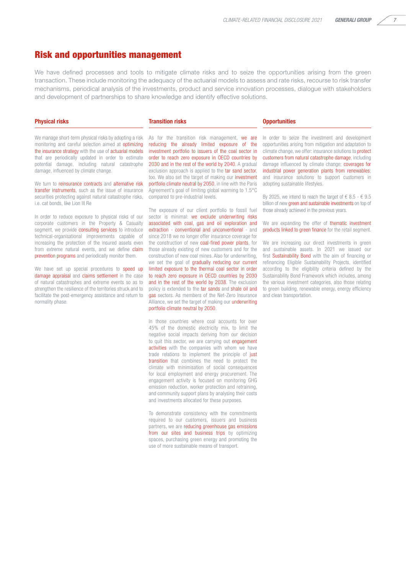#### Risk and opportunities management

We have defined processes and tools to mitigate climate risks and to seize the opportunities arising from the green transaction. These include monitoring the adequacy of the actuarial models to assess and rate risks, recourse to risk transfer mechanisms, periodical analysis of the investments, product and service innovation processes, dialogue with stakeholders and development of partnerships to share knowledge and identify effective solutions.

#### Physical risks Transition risks Opportunities

We manage short-term physical risks by adopting a risk monitoring and careful selection aimed at optimizing the insurance strategy with the use of actuarial models that are periodically updated in order to estimate potential damage, including natural catastrophe damage, influenced by climate change.

We turn to reinsurance contracts and alternative risk transfer instruments, such as the issue of insurance securities protecting against natural catastrophe risks, i.e. cat bonds, like Lion III Re

In order to reduce exposure to physical risks of our corporate customers in the Property & Casualty segment, we provide consulting services to introduce technical-organisational improvements capable of increasing the protection of the insured assets even from extreme natural events, and we define claim prevention programs and periodically monitor them.

We have set up special procedures to speed up damage appraisal and claims settlement in the case of natural catastrophes and extreme events so as to strengthen the resilience of the territories struck and to facilitate the post-emergency assistance and return to normality phase.

As for the transition risk management, we are reducing the already limited exposure of the investment portfolio to issuers of the coal sector in order to reach zero exposure in OECD countries by 2030 and in the rest of the world by 2040. A gradual exclusion approach is applied to the tar sand sector, too. We also set the target of making our investment portfolio climate neutral by 2050, in line with the Paris Agreement's goal of limiting global warming to 1.5°C compared to pre-industrial levels.

The exposure of our client portfolio to fossil fuel sector is minimal: we exclude underwriting risks associated with coal, gas and oil exploration and extraction - conventional and unconventional - and since 2018 we no longer offer insurance coverage for the construction of new coal-fired power plants, for those already existing of new customers and for the construction of new coal mines. Also for underwriting, we set the goal of gradually reducing our current limited exposure to the thermal coal sector in order to reach zero exposure in OECD countries by 2030 and in the rest of the world by 2038. The exclusion policy is extended to the tar sands and shale oil and gas sectors. As members of the Net-Zero Insurance Alliance, we set the target of making our underwriting portfolio climate neutral by 2050.

In those countries where coal accounts for over 45% of the domestic electricity mix, to limit the negative social impacts deriving from our decision to quit this sector, we are carrying out engagement activities with the companies with whom we have trade relations to implement the principle of just transition that combines the need to protect the climate with minimisation of social consequences for local employment and energy procurement. The engagement activity is focused on monitoring GHG emission reduction, worker protection and retraining, and community support plans by analysing their costs and investments allocated for these purposes.

To demonstrate consistency with the commitments required to our customers, issuers and business partners, we are reducing greenhouse gas emissions from our sites and business trips by optimizing spaces, purchasing green energy and promoting the use of more sustainable means of transport.

In order to seize the investment and development opportunities arising from mitigation and adaptation to climate change, we offer: insurance solutions to protect customers from natural catastrophe damage, including damage influenced by climate change; coverages for industrial power generation plants from renewables; and insurance solutions to support customers in adopting sustainable lifestyles.

By 2025, we intend to reach the target of  $\epsilon$  8.5 -  $\epsilon$  9.5 billion of new green and sustainable investments on top of those already achieved in the previous years.

We are expanding the offer of thematic investment products linked to green finance for the retail segment.

We are increasing our direct investments in green and sustainable assets. In 2021 we issued our first Sustainability Bond with the aim of financing or refinancing Eligible Sustainability Projects, identified according to the eligibility criteria defined by the Sustainability Bond Framework which includes, among the various investment categories, also those relating to green building, renewable energy, energy efficiency and clean transportation.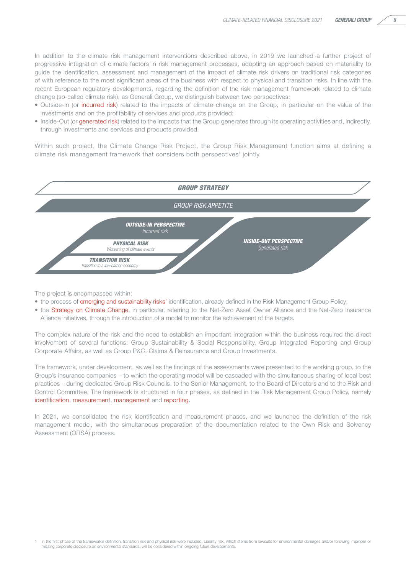In addition to the climate risk management interventions described above, in 2019 we launched a further project of progressive integration of climate factors in risk management processes, adopting an approach based on materiality to guide the identification, assessment and management of the impact of climate risk drivers on traditional risk categories of with reference to the most significant areas of the business with respect to physical and transition risks. In line with the recent European regulatory developments, regarding the definition of the risk management framework related to climate change (so-called climate risk), as Generali Group, we distinguish between two perspectives:

- Outside-In (or incurred risk) related to the impacts of climate change on the Group, in particular on the value of the investments and on the profitability of services and products provided;
- Inside-Out (or generated risk) related to the impacts that the Group generates through its operating activities and, indirectly, through investments and services and products provided.

Within such project, the Climate Change Risk Project, the Group Risk Management function aims at defining a climate risk management framework that considers both perspectives<sup>1</sup> jointly.



The project is encompassed within:

- the process of emerging and sustainability risks' identification, already defined in the Risk Management Group Policy;
- the Strategy on Climate Change, in particular, referring to the Net-Zero Asset Owner Alliance and the Net-Zero Insurance Alliance initiatives, through the introduction of a model to monitor the achievement of the targets.

The complex nature of the risk and the need to establish an important integration within the business required the direct involvement of several functions: Group Sustainability & Social Responsibility, Group Integrated Reporting and Group Corporate Affairs, as well as Group P&C, Claims & Reinsurance and Group Investments.

The framework, under development, as well as the findings of the assessments were presented to the working group, to the Group's insurance companies – to which the operating model will be cascaded with the simultaneous sharing of local best practices – during dedicated Group Risk Councils, to the Senior Management, to the Board of Directors and to the Risk and Control Committee. The framework is structured in four phases, as defined in the Risk Management Group Policy, namely identification, measurement, management and reporting.

In 2021, we consolidated the risk identification and measurement phases, and we launched the definition of the risk management model, with the simultaneous preparation of the documentation related to the Own Risk and Solvency Assessment (ORSA) process.

<sup>1</sup> In the first phase of the framework's definition, transition risk and physical risk were included. Liability risk, which stems from lawsuits for environmental damages and/or following improper or missing corporate disclosure on environmental standards, will be considered within ongoing future developments.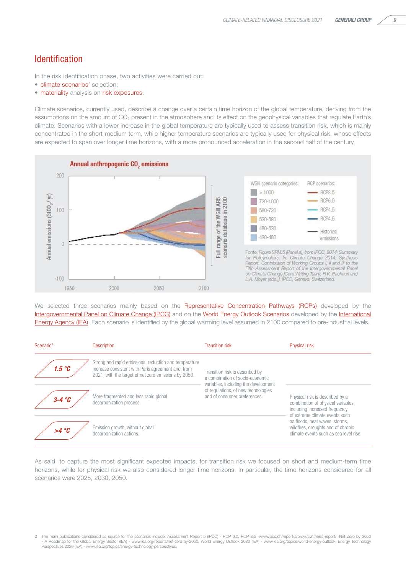#### Identification

In the risk identification phase, two activities were carried out:

- **climate scenarios**' selection:
- materiality analysis on risk exposures.

Climate scenarios, currently used, describe a change over a certain time horizon of the global temperature, deriving from the assumptions on the amount of CO<sub>2</sub> present in the atmosphere and its effect on the geophysical variables that regulate Earth's climate. Scenarios with a lower increase in the global temperature are typically used to assess transition risk, which is mainly concentrated in the short-medium term, while higher temperature scenarios are typically used for physical risk, whose effects are expected to span over longer time horizons, with a more pronounced acceleration in the second half of the century.



We selected three scenarios mainly based on the Representative Concentration Pathways (RCPs) developed by the [Intergovernmental Panel on Climate Change \(IPCC\)](https://www.ipcc.ch/) and on the World Energy Outlook Scenarios developed by the [International](https://www.iea.org/) [Energy Agency \(IEA\)](https://www.iea.org/). Each scenario is identified by the global warming level assumed in 2100 compared to pre-industrial levels.

| Scenario <sup>2</sup> | <b>Description</b>                                                                                                                                                  | <b>Transition risk</b>                                                                                                                                                            | <b>Physical risk</b>                                                                                                                     |
|-----------------------|---------------------------------------------------------------------------------------------------------------------------------------------------------------------|-----------------------------------------------------------------------------------------------------------------------------------------------------------------------------------|------------------------------------------------------------------------------------------------------------------------------------------|
| 1.5 °C                | Strong and rapid emissions' reduction and temperature<br>increase consistent with Paris agreement and, from<br>2021, with the target of net zero emissions by 2050. | Transition risk is described by<br>a combination of socio-economic<br>variables, including the development<br>of regulations, of new technologies<br>and of consumer preferences. |                                                                                                                                          |
| $3-4$ °C              | More fragmented and less rapid global<br>decarbonization process.                                                                                                   |                                                                                                                                                                                   | Physical risk is described by a<br>combination of physical variables,<br>including increased frequency<br>of extreme climate events such |
| $>4^{\circ}C$         | Emission growth, without global<br>decarbonization actions.                                                                                                         |                                                                                                                                                                                   | as floods, heat waves, storms.<br>wildfires, droughts and of chronic<br>climate events such as sea level rise.                           |

As said, to capture the most significant expected impacts, for transition risk we focused on short and medium-term time horizons, while for physical risk we also considered longer time horizons. In particular, the time horizons considered for all scenarios were 2025, 2030, 2050.

The main publications considered as source for the scenarios include: Assessment Report 5 (IPCC) - RCP 6.0, RCP 8.5 -www.ipcc.ch/report/ar5/syr/synthesis-report/, Net Zero by 2050<br>A Roadmap for the Global Energy Sector (IE Perspectives 2020 (IEA) - www.iea.org/topics/energy-technology-perspectives.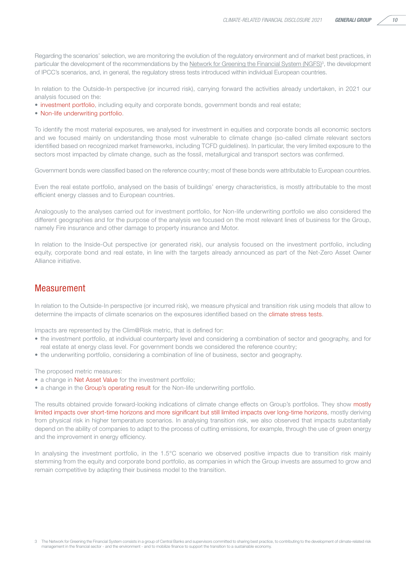Regarding the scenarios' selection, we are monitoring the evolution of the regulatory environment and of market best practices, in particular the development of the recommendations by the Network for Greening the Financial System (NGFS)<sup>3</sup>, the development of IPCC's scenarios, and, in general, the regulatory stress tests introduced within individual European countries.

In relation to the Outside-In perspective (or incurred risk), carrying forward the activities already undertaken, in 2021 our analysis focused on the:

- investment portfolio, including equity and corporate bonds, government bonds and real estate;
- Non-life underwriting portfolio.

To identify the most material exposures, we analysed for investment in equities and corporate bonds all economic sectors and we focused mainly on understanding those most vulnerable to climate change (so-called climate relevant sectors identified based on recognized market frameworks, including TCFD guidelines). In particular, the very limited exposure to the sectors most impacted by climate change, such as the fossil, metallurgical and transport sectors was confirmed.

Government bonds were classified based on the reference country; most of these bonds were attributable to European countries.

Even the real estate portfolio, analysed on the basis of buildings' energy characteristics, is mostly attributable to the most efficient energy classes and to European countries.

Analogously to the analyses carried out for investment portfolio, for Non-life underwriting portfolio we also considered the different geographies and for the purpose of the analysis we focused on the most relevant lines of business for the Group, namely Fire insurance and other damage to property insurance and Motor.

In relation to the Inside-Out perspective (or generated risk), our analysis focused on the investment portfolio, including equity, corporate bond and real estate, in line with the targets already announced as part of the Net-Zero Asset Owner Alliance initiative.

#### **Measurement**

In relation to the Outside-In perspective (or incurred risk), we measure physical and transition risk using models that allow to determine the impacts of climate scenarios on the exposures identified based on the climate stress tests.

Impacts are represented by the Clim@Risk metric, that is defined for:

- the investment portfolio, at individual counterparty level and considering a combination of sector and geography, and for real estate at energy class level. For government bonds we considered the reference country;
- the underwriting portfolio, considering a combination of line of business, sector and geography.

The proposed metric measures:

- a change in Net Asset Value for the investment portfolio:
- a change in the Group's operating result for the Non-life underwriting portfolio.

The results obtained provide forward-looking indications of climate change effects on Group's portfolios. They show mostly limited impacts over short-time horizons and more significant but still limited impacts over long-time horizons, mostly deriving from physical risk in higher temperature scenarios. In analysing transition risk, we also observed that impacts substantially depend on the ability of companies to adapt to the process of cutting emissions, for example, through the use of green energy and the improvement in energy efficiency.

In analysing the investment portfolio, in the 1.5°C scenario we observed positive impacts due to transition risk mainly stemming from the equity and corporate bond portfolio, as companies in which the Group invests are assumed to grow and remain competitive by adapting their business model to the transition.

<sup>3</sup> The Network for Greening the Financial System consists in a group of Central Banks and supervisors committed to sharing best practice, to contributing to the development of climate-related risk management in the financial sector - and the environment - and to mobilize finance to support the transition to a sustainable economy.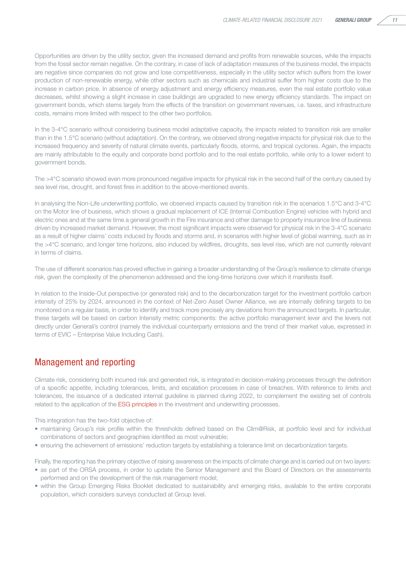Opportunities are driven by the utility sector, given the increased demand and profits from renewable sources, while the impacts from the fossil sector remain negative. On the contrary, in case of lack of adaptation measures of the business model, the impacts are negative since companies do not grow and lose competitiveness, especially in the utility sector which suffers from the lower production of non-renewable energy, while other sectors such as chemicals and industrial suffer from higher costs due to the increase in carbon price. In absence of energy adjustment and energy efficiency measures, even the real estate portfolio value decreases, whilst showing a slight increase in case buildings are upgraded to new energy efficiency standards. The impact on government bonds, which stems largely from the effects of the transition on government revenues, i.e. taxes, and infrastructure costs, remains more limited with respect to the other two portfolios.

In the 3-4°C scenario without considering business model adaptative capacity, the impacts related to transition risk are smaller than in the 1.5°C scenario (without adaptation). On the contrary, we observed strong negative impacts for physical risk due to the increased frequency and severity of natural climate events, particularly floods, storms, and tropical cyclones. Again, the impacts are mainly attributable to the equity and corporate bond portfolio and to the real estate portfolio, while only to a lower extent to government bonds.

The >4°C scenario showed even more pronounced negative impacts for physical risk in the second half of the century caused by sea level rise, drought, and forest fires in addition to the above-mentioned events.

In analysing the Non-Life underwriting portfolio, we observed impacts caused by transition risk in the scenarios 1.5°C and 3-4°C on the Motor line of business, which shows a gradual replacement of ICE (Internal Combustion Engine) vehicles with hybrid and electric ones and at the same time a general growth in the Fire insurance and other damage to property insurance line of business driven by increased market demand. However, the most significant impacts were observed for physical risk in the 3-4°C scenario as a result of higher claims' costs induced by floods and storms and, in scenarios with higher level of global warming, such as in the >4°C scenario, and longer time horizons, also induced by wildfires, droughts, sea level rise, which are not currently relevant in terms of claims.

The use of different scenarios has proved effective in gaining a broader understanding of the Group's resilience to climate change risk, given the complexity of the phenomenon addressed and the long-time horizons over which it manifests itself.

In relation to the Inside-Out perspective (or generated risk) and to the decarbonization target for the investment portfolio carbon intensity of 25% by 2024, announced in the context of Net-Zero Asset Owner Alliance, we are internally defining targets to be monitored on a regular basis, in order to identify and track more precisely any deviations from the announced targets. In particular, these targets will be based on carbon Intensity metric components: the active portfolio management lever and the levers not directly under Generali's control (namely the individual counterparty emissions and the trend of their market value, expressed in terms of EVIC – Enterprise Value Including Cash).

### Management and reporting

Climate risk, considering both incurred risk and generated risk, is integrated in decision-making processes through the definition of a specific appetite, including tolerances, limits, and escalation processes in case of breaches. With reference to limits and tolerances, the issuance of a dedicated internal guideline is planned during 2022, to complement the existing set of controls related to the application of the ESG principles in the investment and underwriting processes.

This integration has the two-fold objective of:

- maintaining Group's risk profile within the thresholds defined based on the Clim@Risk, at portfolio level and for individual combinations of sectors and geographies identified as most vulnerable;
- ensuring the achievement of emissions' reduction targets by establishing a tolerance limit on decarbonization targets.

Finally, the reporting has the primary objective of raising awareness on the impacts of climate change and is carried out on two layers:

- as part of the ORSA process, in order to update the Senior Management and the Board of Directors on the assessments performed and on the development of the risk management model;
- within the Group Emerging Risks Booklet dedicated to sustainability and emerging risks, available to the entire corporate population, which considers surveys conducted at Group level.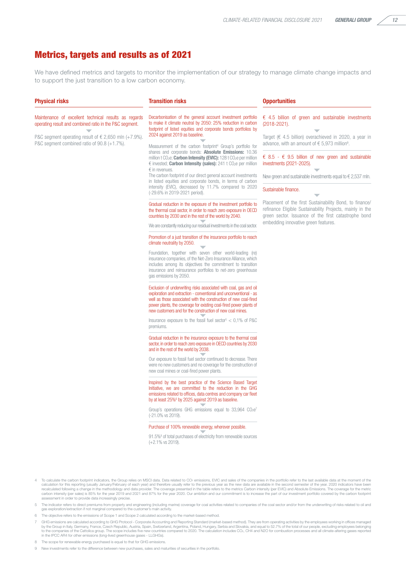#### Metrics, targets and results as of 2021

We have defined metrics and targets to monitor the implementation of our strategy to manage climate change impacts and to support the just transition to a low carbon economy.

|                                                                                                                                                                                                                                                  | <b>Transition risks</b>                                                                                                                                                                                                                                                                                                                                                                                                                                                                                                                                                                                                                                                                                                                                                                                                                                                                                                                                                                                                                                                                                         | <b>Opportunities</b>                                                                                                                                                                                                                                                                                                                                                                                                                                                                                                                 |
|--------------------------------------------------------------------------------------------------------------------------------------------------------------------------------------------------------------------------------------------------|-----------------------------------------------------------------------------------------------------------------------------------------------------------------------------------------------------------------------------------------------------------------------------------------------------------------------------------------------------------------------------------------------------------------------------------------------------------------------------------------------------------------------------------------------------------------------------------------------------------------------------------------------------------------------------------------------------------------------------------------------------------------------------------------------------------------------------------------------------------------------------------------------------------------------------------------------------------------------------------------------------------------------------------------------------------------------------------------------------------------|--------------------------------------------------------------------------------------------------------------------------------------------------------------------------------------------------------------------------------------------------------------------------------------------------------------------------------------------------------------------------------------------------------------------------------------------------------------------------------------------------------------------------------------|
| <b>Physical risks</b><br>Maintenance of excellent technical results as regards<br>operating result and combined ratio in the P&C segment.<br>P&C segment operating result of € 2,650 mln (+7.9%).<br>P&C segment combined ratio of 90.8 (+1.7%). | Decarbonisation of the general account investment portfolio<br>to make it climate neutral by 2050: 25% reduction in carbon<br>footprint of listed equities and corporate bonds portfolios by<br>2024 against 2019 as baseline.<br>Measurement of the carbon footprint <sup>4</sup> Group's portfolio for<br>shares and corporate bonds: <b>Absolute Emissions:</b> 10.36<br>million t CO <sub>2</sub> e; <b>Carbon Intensity (EVIC):</b> 128 t CO <sub>2</sub> e per million<br>€ invested; Carbon Intensity (sales): 241 t CO2e per million<br>$\epsilon$ in revenues.<br>The carbon footprint of our direct general account investments<br>in listed equities and corporate bonds, in terms of carbon<br>intensity (EVIC), decreased by 11.7% compared to 2020<br>(-29.6% in 2019-2021 period).<br>Gradual reduction in the exposure of the investment portfolio to<br>the thermal coal sector, in order to reach zero exposure in OECD                                                                                                                                                                       | $\epsilon$ 4.5 billion of green and sustainable investments<br>$(2018 - 2021)$ .<br>Target ( $\epsilon$ 4.5 billion) overachieved in 2020, a year in<br>advance, with an amount of $\epsilon$ 5,973 million <sup>9</sup> .<br>€ 8.5 - € 9.5 billion of new green and sustainable<br>investments (2021-2025).<br>New green and sustainable investments equal to $\epsilon$ 2,537 mln.<br>Sustainable finance.<br>Placement of the first Sustainability Bond, to finance/<br>refinance Eligible Sustainability Projects, mainly in the |
|                                                                                                                                                                                                                                                  | countries by 2030 and in the rest of the world by 2040.<br>We are constantly reducing our residual investments in the coal sector.<br>Promotion of a just transition of the insurance portfolio to reach<br>climate neutrality by 2050.<br>Foundation, together with seven other world-leading (re)<br>insurance companies, of the Net-Zero Insurance Alliance, which<br>includes among its objectives the commitment to transition<br>insurance and reinsurance portfolios to net-zero greenhouse<br>gas emissions by 2050.<br>Exclusion of underwriting risks associated with coal, gas and oil<br>exploration and extraction - conventional and unconventional - as<br>well as those associated with the construction of new coal-fired<br>power plants, the coverage for existing coal-fired power plants of<br>new customers and for the construction of new coal mines.<br>Insurance exposure to the fossil fuel sector <sup>5</sup> $<$ 0,1% of P&C<br>premiums.<br>Gradual reduction in the insurance exposure to the thermal coal<br>sector, in order to reach zero exposure in OECD countries by 2030 | green sector. Issuance of the first catastrophe bond<br>embedding innovative green features.                                                                                                                                                                                                                                                                                                                                                                                                                                         |
|                                                                                                                                                                                                                                                  | and in the rest of the world by 2038.<br>Our exposure to fossil fuel sector continued to decrease. There<br>were no new customers and no coverage for the construction of<br>new coal mines or coal-fired power plants.<br>Inspired by the best practice of the Science Based Target<br>Initiative, we are committed to the reduction in the GHG<br>emissions related to offices, data centres and company car fleet<br>by at least 25% <sup>6</sup> by 2025 against 2019 as baseline.<br>Group's operations GHG emissions equal to $33,964$ $CO2e7$<br>(-21.0% vs 2019).                                                                                                                                                                                                                                                                                                                                                                                                                                                                                                                                       |                                                                                                                                                                                                                                                                                                                                                                                                                                                                                                                                      |
|                                                                                                                                                                                                                                                  | Purchase of 100% renewable energy, wherever possible.<br>91.5% <sup>8</sup> of total purchases of electricity from renewable sources<br>$(+2.1\%$ vs 2019).<br>4 To calculate the carbon footprint indicators, the Group relies on MSCI data. Data related to CO <sub>2</sub> emissions, EVIC and sales of the companies in the portfolio refer to the last available data at the moment of the                                                                                                                                                                                                                                                                                                                                                                                                                                                                                                                                                                                                                                                                                                                 |                                                                                                                                                                                                                                                                                                                                                                                                                                                                                                                                      |

- To calculate the carbon footprint indicators, the Group relies on MSCI data. Data related to CO: emissions, EVIC and sales of the companies in the portfolio refer to the last available data at the moment of the calculation carbon intensity (per sales) is 85% for the year 2019 and 2021 and 87% for the year 2020. Our ambition and our commitment is to increase the part of our investment portfolio covered by the carbon footprint<br>assessment in or
- 5 The indicator refers to direct premiums from property and engineering (including marine) coverage for coal activities related to companies of the coal sector and/or from the underwriting of risks related to oil and gas exploration/extraction if not marginal compared to the customer's main activity.
- 6 The objective refers to the emissions of Scope 1 and Scope 2 calculated according to the market-based method.
- 7 GHG emissions are calculated according to GHG Protocol Corporate Accounting and Reporting Standard (market-based method). They are from operating activities by the employees working in offices managed by the Group in Italy, Germany, France, Czech Republic, Austria, Spain, Switzerland, Argentina, Poland, Hungary, Serbia and Slovakia, and equal to 52.7% of the total of our people, excluding employees belonging<br>to the comp
- 8 The scope for renewable energy purchased is equal to that for GHG emissions.
- 9 New investments refer to the difference between new purchases, sales and maturities of securities in the portfolio.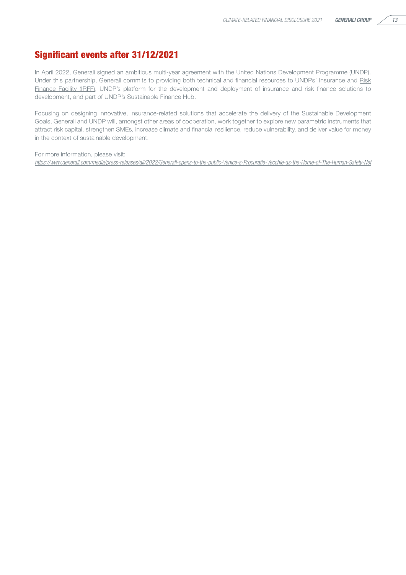#### Significant events after 31/12/2021

In April 2022, Generali signed an ambitious multi-year agreement with the [United Nations Development Programme \(UNDP\).](https://www.undp.org/) Under this partnership, Generali commits to providing both technical and financial resources to UNDPs' Insurance and [Risk](https://irff.undp.org/) Finance Facility (IRFE), UNDP's platform for the development and deployment of insurance and risk finance solutions to development, and part of UNDP's Sustainable Finance Hub.

Focusing on designing innovative, insurance-related solutions that accelerate the delivery of the Sustainable Development Goals, Generali and UNDP will, amongst other areas of cooperation, work together to explore new parametric instruments that attract risk capital, strengthen SMEs, increase climate and financial resilience, reduce vulnerability, and deliver value for money in the context of sustainable development.

For more information, please visit: *<https://www.generali.com/media/press-releases/all/2022/Generali-opens-to-the-public-Venice-s-Procuratie-Vecchie-as-the-Home-of-The-Human-Safety-Net>*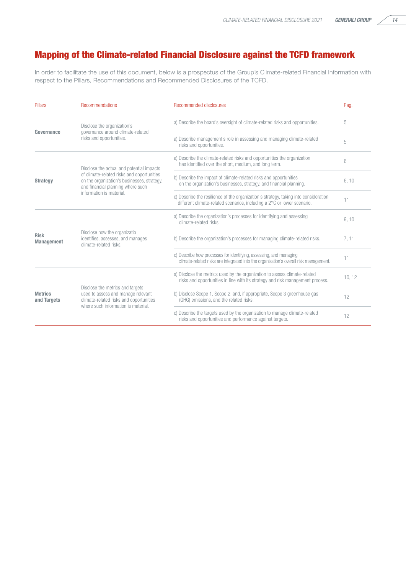### Mapping of the Climate-related Financial Disclosure against the TCFD framework

In order to facilitate the use of this document, below is a prospectus of the Group's Climate-related Financial Information with respect to the Pillars, Recommendations and Recommended Disclosures of the TCFD.

| <b>Pillars</b>                   | Recommendations                                                                                                                                                                                         | Recommended disclosures                                                                                                                                         | Pag.   |
|----------------------------------|---------------------------------------------------------------------------------------------------------------------------------------------------------------------------------------------------------|-----------------------------------------------------------------------------------------------------------------------------------------------------------------|--------|
| Governance                       | Disclose the organization's<br>governance around climate-related<br>risks and opportunities.                                                                                                            | a) Describe the board's oversight of climate-related risks and opportunities.                                                                                   | 5      |
|                                  |                                                                                                                                                                                                         | a) Describe management's role in assessing and managing climate-related<br>risks and opportunities.                                                             | 5      |
| <b>Strategy</b>                  | Disclose the actual and potential impacts<br>of climate-related risks and opportunities<br>on the organization's businesses, strategy,<br>and financial planning where such<br>information is material. | a) Describe the climate-related risks and opportunities the organization<br>has identified over the short, medium, and long term.                               | 6      |
|                                  |                                                                                                                                                                                                         | b) Describe the impact of climate-related risks and opportunities<br>on the organization's businesses, strategy, and financial planning.                        | 6, 10  |
|                                  |                                                                                                                                                                                                         | c) Describe the resilience of the organization's strategy, taking into consideration<br>different climate-related scenarios, including a 2°C or lower scenario. | 11     |
| <b>Risk</b><br><b>Management</b> | Disclose how the organizatio<br>identifies, assesses, and manages<br>climate-related risks.                                                                                                             | a) Describe the organization's processes for identifying and assessing<br>climate-related risks.                                                                | 9, 10  |
|                                  |                                                                                                                                                                                                         | b) Describe the organization's processes for managing climate-related risks.                                                                                    | 7.11   |
|                                  |                                                                                                                                                                                                         | c) Describe how processes for identifying, assessing, and managing<br>climate-related risks are integrated into the organization's overall risk management.     | 11     |
| <b>Metrics</b><br>and Targets    | Disclose the metrics and targets<br>used to assess and manage relevant<br>climate-related risks and opportunities<br>where such information is material.                                                | a) Disclose the metrics used by the organization to assess climate-related<br>risks and opportunities in line with its strategy and risk management process.    | 10, 12 |
|                                  |                                                                                                                                                                                                         | b) Disclose Scope 1, Scope 2, and, if appropriate, Scope 3 greenhouse gas<br>(GHG) emissions, and the related risks.                                            | 12     |
|                                  |                                                                                                                                                                                                         | c) Describe the targets used by the organization to manage climate-related<br>risks and opportunities and performance against targets.                          | 12     |